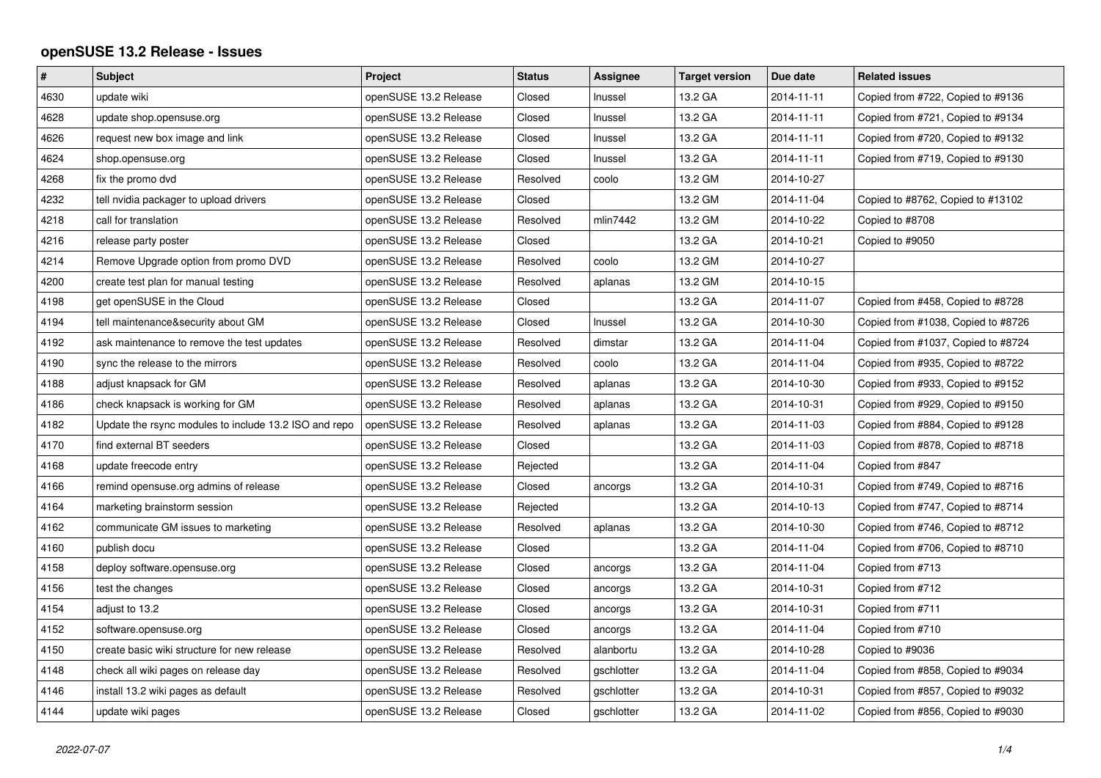## **openSUSE 13.2 Release - Issues**

| $\vert$ # | <b>Subject</b>                                        | Project               | <b>Status</b> | Assignee   | <b>Target version</b> | Due date   | <b>Related issues</b>              |
|-----------|-------------------------------------------------------|-----------------------|---------------|------------|-----------------------|------------|------------------------------------|
| 4630      | update wiki                                           | openSUSE 13.2 Release | Closed        | Inussel    | 13.2 GA               | 2014-11-11 | Copied from #722, Copied to #9136  |
| 4628      | update shop.opensuse.org                              | openSUSE 13.2 Release | Closed        | Inussel    | 13.2 GA               | 2014-11-11 | Copied from #721, Copied to #9134  |
| 4626      | request new box image and link                        | openSUSE 13.2 Release | Closed        | Inussel    | 13.2 GA               | 2014-11-11 | Copied from #720, Copied to #9132  |
| 4624      | shop.opensuse.org                                     | openSUSE 13.2 Release | Closed        | Inussel    | 13.2 GA               | 2014-11-11 | Copied from #719, Copied to #9130  |
| 4268      | fix the promo dvd                                     | openSUSE 13.2 Release | Resolved      | coolo      | 13.2 GM               | 2014-10-27 |                                    |
| 4232      | tell nvidia packager to upload drivers                | openSUSE 13.2 Release | Closed        |            | 13.2 GM               | 2014-11-04 | Copied to #8762, Copied to #13102  |
| 4218      | call for translation                                  | openSUSE 13.2 Release | Resolved      | mlin7442   | 13.2 GM               | 2014-10-22 | Copied to #8708                    |
| 4216      | release party poster                                  | openSUSE 13.2 Release | Closed        |            | 13.2 GA               | 2014-10-21 | Copied to #9050                    |
| 4214      | Remove Upgrade option from promo DVD                  | openSUSE 13.2 Release | Resolved      | coolo      | 13.2 GM               | 2014-10-27 |                                    |
| 4200      | create test plan for manual testing                   | openSUSE 13.2 Release | Resolved      | aplanas    | 13.2 GM               | 2014-10-15 |                                    |
| 4198      | get openSUSE in the Cloud                             | openSUSE 13.2 Release | Closed        |            | 13.2 GA               | 2014-11-07 | Copied from #458, Copied to #8728  |
| 4194      | tell maintenance&security about GM                    | openSUSE 13.2 Release | Closed        | Inussel    | 13.2 GA               | 2014-10-30 | Copied from #1038, Copied to #8726 |
| 4192      | ask maintenance to remove the test updates            | openSUSE 13.2 Release | Resolved      | dimstar    | 13.2 GA               | 2014-11-04 | Copied from #1037, Copied to #8724 |
| 4190      | sync the release to the mirrors                       | openSUSE 13.2 Release | Resolved      | coolo      | 13.2 GA               | 2014-11-04 | Copied from #935, Copied to #8722  |
| 4188      | adjust knapsack for GM                                | openSUSE 13.2 Release | Resolved      | aplanas    | 13.2 GA               | 2014-10-30 | Copied from #933, Copied to #9152  |
| 4186      | check knapsack is working for GM                      | openSUSE 13.2 Release | Resolved      | aplanas    | 13.2 GA               | 2014-10-31 | Copied from #929, Copied to #9150  |
| 4182      | Update the rsync modules to include 13.2 ISO and repo | openSUSE 13.2 Release | Resolved      | aplanas    | 13.2 GA               | 2014-11-03 | Copied from #884, Copied to #9128  |
| 4170      | find external BT seeders                              | openSUSE 13.2 Release | Closed        |            | 13.2 GA               | 2014-11-03 | Copied from #878, Copied to #8718  |
| 4168      | update freecode entry                                 | openSUSE 13.2 Release | Rejected      |            | 13.2 GA               | 2014-11-04 | Copied from #847                   |
| 4166      | remind opensuse.org admins of release                 | openSUSE 13.2 Release | Closed        | ancorgs    | 13.2 GA               | 2014-10-31 | Copied from #749, Copied to #8716  |
| 4164      | marketing brainstorm session                          | openSUSE 13.2 Release | Rejected      |            | 13.2 GA               | 2014-10-13 | Copied from #747, Copied to #8714  |
| 4162      | communicate GM issues to marketing                    | openSUSE 13.2 Release | Resolved      | aplanas    | 13.2 GA               | 2014-10-30 | Copied from #746, Copied to #8712  |
| 4160      | publish docu                                          | openSUSE 13.2 Release | Closed        |            | 13.2 GA               | 2014-11-04 | Copied from #706, Copied to #8710  |
| 4158      | deploy software.opensuse.org                          | openSUSE 13.2 Release | Closed        | ancorgs    | 13.2 GA               | 2014-11-04 | Copied from #713                   |
| 4156      | test the changes                                      | openSUSE 13.2 Release | Closed        | ancorgs    | 13.2 GA               | 2014-10-31 | Copied from #712                   |
| 4154      | adjust to 13.2                                        | openSUSE 13.2 Release | Closed        | ancorgs    | 13.2 GA               | 2014-10-31 | Copied from #711                   |
| 4152      | software.opensuse.org                                 | openSUSE 13.2 Release | Closed        | ancorgs    | 13.2 GA               | 2014-11-04 | Copied from #710                   |
| 4150      | create basic wiki structure for new release           | openSUSE 13.2 Release | Resolved      | alanbortu  | 13.2 GA               | 2014-10-28 | Copied to #9036                    |
| 4148      | check all wiki pages on release day                   | openSUSE 13.2 Release | Resolved      | gschlotter | 13.2 GA               | 2014-11-04 | Copied from #858, Copied to #9034  |
| 4146      | install 13.2 wiki pages as default                    | openSUSE 13.2 Release | Resolved      | gschlotter | 13.2 GA               | 2014-10-31 | Copied from #857, Copied to #9032  |
| 4144      | update wiki pages                                     | openSUSE 13.2 Release | Closed        | gschlotter | 13.2 GA               | 2014-11-02 | Copied from #856, Copied to #9030  |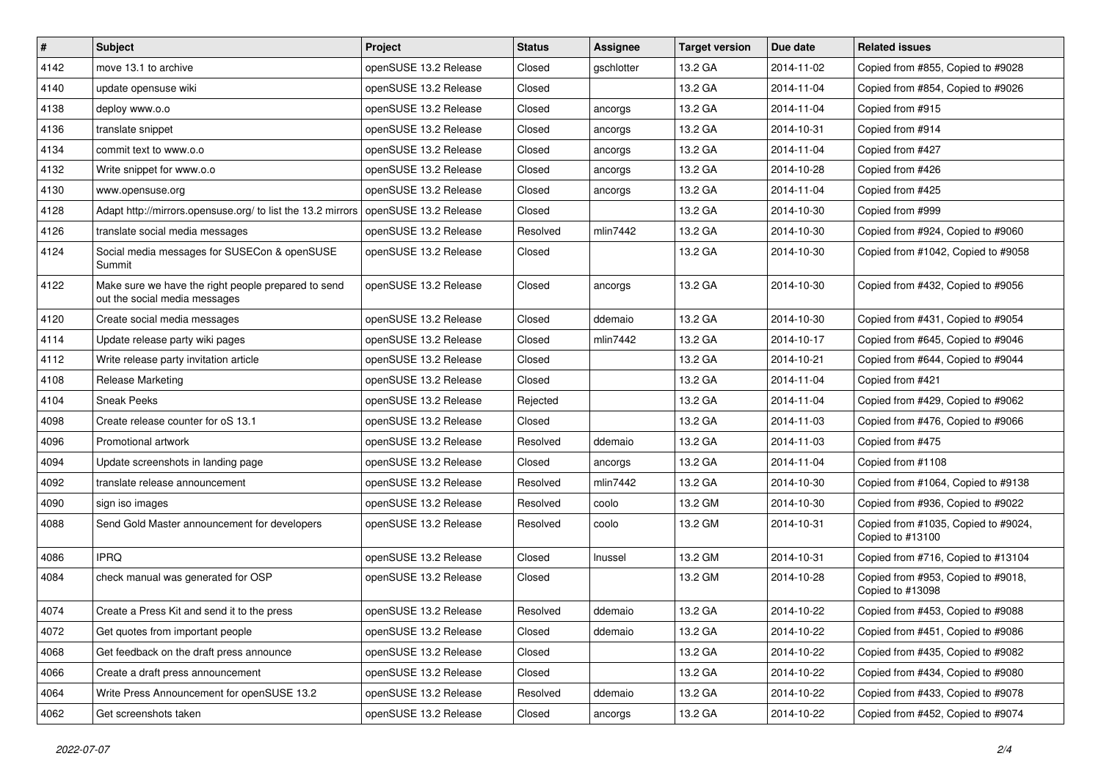| $\sharp$ | Subject                                                                              | Project               | <b>Status</b> | <b>Assignee</b> | <b>Target version</b> | Due date   | <b>Related issues</b>                                   |
|----------|--------------------------------------------------------------------------------------|-----------------------|---------------|-----------------|-----------------------|------------|---------------------------------------------------------|
| 4142     | move 13.1 to archive                                                                 | openSUSE 13.2 Release | Closed        | gschlotter      | 13.2 GA               | 2014-11-02 | Copied from #855, Copied to #9028                       |
| 4140     | update opensuse wiki                                                                 | openSUSE 13.2 Release | Closed        |                 | 13.2 GA               | 2014-11-04 | Copied from #854, Copied to #9026                       |
| 4138     | deploy www.o.o                                                                       | openSUSE 13.2 Release | Closed        | ancorgs         | 13.2 GA               | 2014-11-04 | Copied from #915                                        |
| 4136     | translate snippet                                                                    | openSUSE 13.2 Release | Closed        | ancorgs         | 13.2 GA               | 2014-10-31 | Copied from #914                                        |
| 4134     | commit text to www.o.o                                                               | openSUSE 13.2 Release | Closed        | ancorgs         | 13.2 GA               | 2014-11-04 | Copied from #427                                        |
| 4132     | Write snippet for www.o.o                                                            | openSUSE 13.2 Release | Closed        | ancorgs         | 13.2 GA               | 2014-10-28 | Copied from #426                                        |
| 4130     | www.opensuse.org                                                                     | openSUSE 13.2 Release | Closed        | ancorgs         | 13.2 GA               | 2014-11-04 | Copied from #425                                        |
| 4128     | Adapt http://mirrors.opensuse.org/ to list the 13.2 mirrors                          | openSUSE 13.2 Release | Closed        |                 | 13.2 GA               | 2014-10-30 | Copied from #999                                        |
| 4126     | translate social media messages                                                      | openSUSE 13.2 Release | Resolved      | mlin7442        | 13.2 GA               | 2014-10-30 | Copied from #924, Copied to #9060                       |
| 4124     | Social media messages for SUSECon & openSUSE<br>Summit                               | openSUSE 13.2 Release | Closed        |                 | 13.2 GA               | 2014-10-30 | Copied from #1042, Copied to #9058                      |
| 4122     | Make sure we have the right people prepared to send<br>out the social media messages | openSUSE 13.2 Release | Closed        | ancorgs         | 13.2 GA               | 2014-10-30 | Copied from #432, Copied to #9056                       |
| 4120     | Create social media messages                                                         | openSUSE 13.2 Release | Closed        | ddemaio         | 13.2 GA               | 2014-10-30 | Copied from #431, Copied to #9054                       |
| 4114     | Update release party wiki pages                                                      | openSUSE 13.2 Release | Closed        | mlin7442        | 13.2 GA               | 2014-10-17 | Copied from #645, Copied to #9046                       |
| 4112     | Write release party invitation article                                               | openSUSE 13.2 Release | Closed        |                 | 13.2 GA               | 2014-10-21 | Copied from #644, Copied to #9044                       |
| 4108     | Release Marketing                                                                    | openSUSE 13.2 Release | Closed        |                 | 13.2 GA               | 2014-11-04 | Copied from #421                                        |
| 4104     | <b>Sneak Peeks</b>                                                                   | openSUSE 13.2 Release | Rejected      |                 | 13.2 GA               | 2014-11-04 | Copied from #429, Copied to #9062                       |
| 4098     | Create release counter for oS 13.1                                                   | openSUSE 13.2 Release | Closed        |                 | 13.2 GA               | 2014-11-03 | Copied from #476, Copied to #9066                       |
| 4096     | Promotional artwork                                                                  | openSUSE 13.2 Release | Resolved      | ddemaio         | 13.2 GA               | 2014-11-03 | Copied from #475                                        |
| 4094     | Update screenshots in landing page                                                   | openSUSE 13.2 Release | Closed        | ancorgs         | 13.2 GA               | 2014-11-04 | Copied from #1108                                       |
| 4092     | translate release announcement                                                       | openSUSE 13.2 Release | Resolved      | mlin7442        | 13.2 GA               | 2014-10-30 | Copied from #1064, Copied to #9138                      |
| 4090     | sign iso images                                                                      | openSUSE 13.2 Release | Resolved      | coolo           | 13.2 GM               | 2014-10-30 | Copied from #936, Copied to #9022                       |
| 4088     | Send Gold Master announcement for developers                                         | openSUSE 13.2 Release | Resolved      | coolo           | 13.2 GM               | 2014-10-31 | Copied from #1035, Copied to #9024,<br>Copied to #13100 |
| 4086     | <b>IPRQ</b>                                                                          | openSUSE 13.2 Release | Closed        | Inussel         | 13.2 GM               | 2014-10-31 | Copied from #716, Copied to #13104                      |
| 4084     | check manual was generated for OSP                                                   | openSUSE 13.2 Release | Closed        |                 | 13.2 GM               | 2014-10-28 | Copied from #953, Copied to #9018,<br>Copied to #13098  |
| 4074     | Create a Press Kit and send it to the press                                          | openSUSE 13.2 Release | Resolved      | ddemaio         | 13.2 GA               | 2014-10-22 | Copied from #453, Copied to #9088                       |
| 4072     | Get quotes from important people                                                     | openSUSE 13.2 Release | Closed        | ddemaio         | 13.2 GA               | 2014-10-22 | Copied from #451, Copied to #9086                       |
| 4068     | Get feedback on the draft press announce                                             | openSUSE 13.2 Release | Closed        |                 | 13.2 GA               | 2014-10-22 | Copied from #435, Copied to #9082                       |
| 4066     | Create a draft press announcement                                                    | openSUSE 13.2 Release | Closed        |                 | 13.2 GA               | 2014-10-22 | Copied from #434, Copied to #9080                       |
| 4064     | Write Press Announcement for openSUSE 13.2                                           | openSUSE 13.2 Release | Resolved      | ddemaio         | 13.2 GA               | 2014-10-22 | Copied from #433, Copied to #9078                       |
| 4062     | Get screenshots taken                                                                | openSUSE 13.2 Release | Closed        | ancorgs         | 13.2 GA               | 2014-10-22 | Copied from #452, Copied to #9074                       |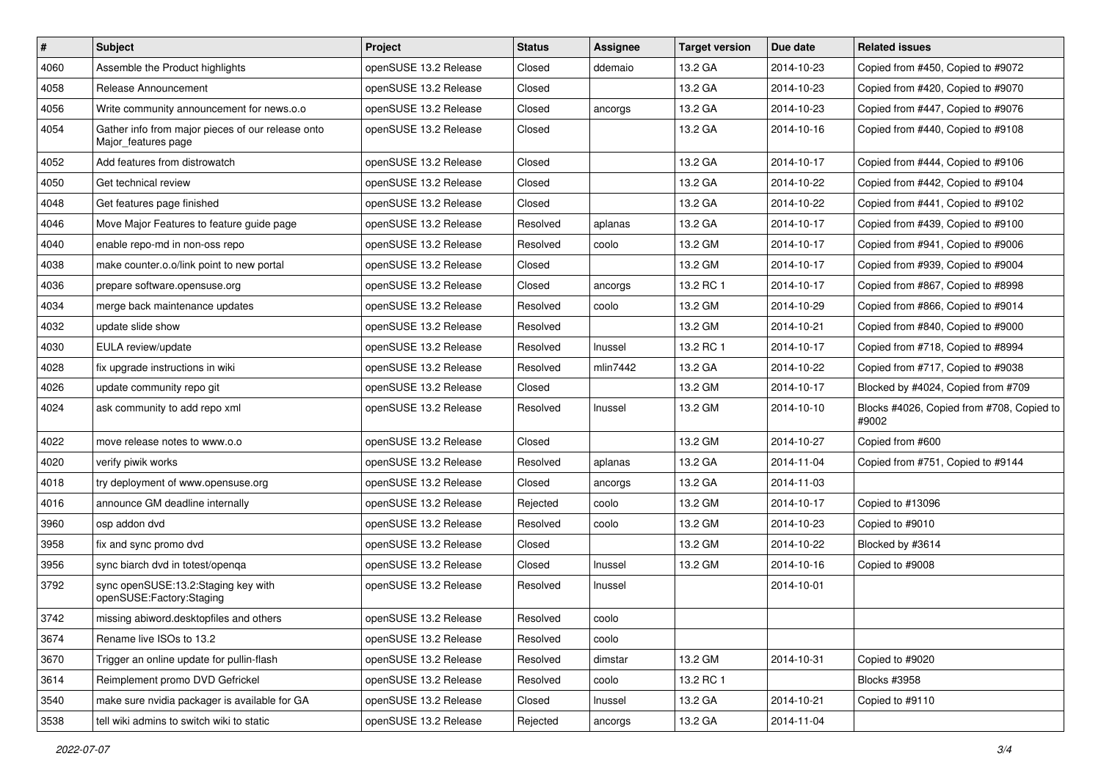| $\vert$ # | Subject                                                                  | Project               | <b>Status</b> | <b>Assignee</b> | <b>Target version</b> | Due date   | <b>Related issues</b>                              |
|-----------|--------------------------------------------------------------------------|-----------------------|---------------|-----------------|-----------------------|------------|----------------------------------------------------|
| 4060      | Assemble the Product highlights                                          | openSUSE 13.2 Release | Closed        | ddemaio         | 13.2 GA               | 2014-10-23 | Copied from #450, Copied to #9072                  |
| 4058      | Release Announcement                                                     | openSUSE 13.2 Release | Closed        |                 | 13.2 GA               | 2014-10-23 | Copied from #420, Copied to #9070                  |
| 4056      | Write community announcement for news.o.o                                | openSUSE 13.2 Release | Closed        | ancorgs         | 13.2 GA               | 2014-10-23 | Copied from #447, Copied to #9076                  |
| 4054      | Gather info from major pieces of our release onto<br>Major_features page | openSUSE 13.2 Release | Closed        |                 | 13.2 GA               | 2014-10-16 | Copied from #440, Copied to #9108                  |
| 4052      | Add features from distrowatch                                            | openSUSE 13.2 Release | Closed        |                 | 13.2 GA               | 2014-10-17 | Copied from #444, Copied to #9106                  |
| 4050      | Get technical review                                                     | openSUSE 13.2 Release | Closed        |                 | 13.2 GA               | 2014-10-22 | Copied from #442, Copied to #9104                  |
| 4048      | Get features page finished                                               | openSUSE 13.2 Release | Closed        |                 | 13.2 GA               | 2014-10-22 | Copied from #441, Copied to #9102                  |
| 4046      | Move Major Features to feature guide page                                | openSUSE 13.2 Release | Resolved      | aplanas         | 13.2 GA               | 2014-10-17 | Copied from #439, Copied to #9100                  |
| 4040      | enable repo-md in non-oss repo                                           | openSUSE 13.2 Release | Resolved      | coolo           | 13.2 GM               | 2014-10-17 | Copied from #941, Copied to #9006                  |
| 4038      | make counter.o.o/link point to new portal                                | openSUSE 13.2 Release | Closed        |                 | 13.2 GM               | 2014-10-17 | Copied from #939, Copied to #9004                  |
| 4036      | prepare software.opensuse.org                                            | openSUSE 13.2 Release | Closed        | ancorgs         | 13.2 RC 1             | 2014-10-17 | Copied from #867, Copied to #8998                  |
| 4034      | merge back maintenance updates                                           | openSUSE 13.2 Release | Resolved      | coolo           | 13.2 GM               | 2014-10-29 | Copied from #866, Copied to #9014                  |
| 4032      | update slide show                                                        | openSUSE 13.2 Release | Resolved      |                 | 13.2 GM               | 2014-10-21 | Copied from #840, Copied to #9000                  |
| 4030      | EULA review/update                                                       | openSUSE 13.2 Release | Resolved      | Inussel         | 13.2 RC 1             | 2014-10-17 | Copied from #718, Copied to #8994                  |
| 4028      | fix upgrade instructions in wiki                                         | openSUSE 13.2 Release | Resolved      | mlin7442        | 13.2 GA               | 2014-10-22 | Copied from #717, Copied to #9038                  |
| 4026      | update community repo git                                                | openSUSE 13.2 Release | Closed        |                 | 13.2 GM               | 2014-10-17 | Blocked by #4024, Copied from #709                 |
| 4024      | ask community to add repo xml                                            | openSUSE 13.2 Release | Resolved      | Inussel         | 13.2 GM               | 2014-10-10 | Blocks #4026, Copied from #708, Copied to<br>#9002 |
| 4022      | move release notes to www.o.o                                            | openSUSE 13.2 Release | Closed        |                 | 13.2 GM               | 2014-10-27 | Copied from #600                                   |
| 4020      | verify piwik works                                                       | openSUSE 13.2 Release | Resolved      | aplanas         | 13.2 GA               | 2014-11-04 | Copied from #751, Copied to #9144                  |
| 4018      | try deployment of www.opensuse.org                                       | openSUSE 13.2 Release | Closed        | ancorgs         | 13.2 GA               | 2014-11-03 |                                                    |
| 4016      | announce GM deadline internally                                          | openSUSE 13.2 Release | Rejected      | coolo           | 13.2 GM               | 2014-10-17 | Copied to #13096                                   |
| 3960      | osp addon dvd                                                            | openSUSE 13.2 Release | Resolved      | coolo           | 13.2 GM               | 2014-10-23 | Copied to #9010                                    |
| 3958      | fix and sync promo dvd                                                   | openSUSE 13.2 Release | Closed        |                 | 13.2 GM               | 2014-10-22 | Blocked by #3614                                   |
| 3956      | sync biarch dvd in totest/openga                                         | openSUSE 13.2 Release | Closed        | Inussel         | 13.2 GM               | 2014-10-16 | Copied to #9008                                    |
| 3792      | sync openSUSE:13.2:Staging key with<br>openSUSE:Factory:Staging          | openSUSE 13.2 Release | Resolved      | Inussel         |                       | 2014-10-01 |                                                    |
| 3742      | missing abiword.desktopfiles and others                                  | openSUSE 13.2 Release | Resolved      | coolo           |                       |            |                                                    |
| 3674      | Rename live ISOs to 13.2                                                 | openSUSE 13.2 Release | Resolved      | coolo           |                       |            |                                                    |
| 3670      | Trigger an online update for pullin-flash                                | openSUSE 13.2 Release | Resolved      | dimstar         | 13.2 GM               | 2014-10-31 | Copied to #9020                                    |
| 3614      | Reimplement promo DVD Gefrickel                                          | openSUSE 13.2 Release | Resolved      | coolo           | 13.2 RC 1             |            | <b>Blocks #3958</b>                                |
| 3540      | make sure nvidia packager is available for GA                            | openSUSE 13.2 Release | Closed        | Inussel         | 13.2 GA               | 2014-10-21 | Copied to #9110                                    |
| 3538      | tell wiki admins to switch wiki to static                                | openSUSE 13.2 Release | Rejected      | ancorgs         | 13.2 GA               | 2014-11-04 |                                                    |